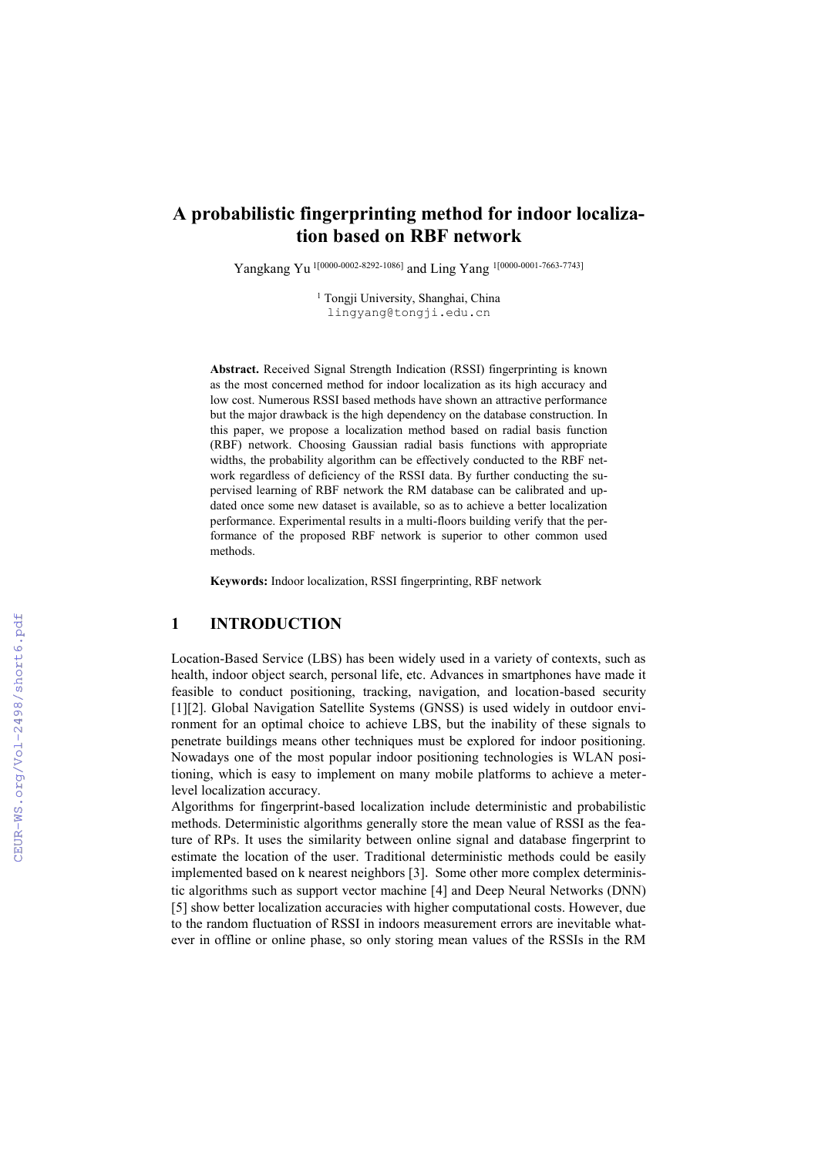# **A probabilistic fingerprinting method for indoor localization based on RBF network**

Yangkang Yu 1[0000-0002-8292-1086] and Ling Yang 1[0000-0001-7663-7743]

<sup>1</sup> Tongji University, Shanghai, China lingyang@tongji.edu.cn

**Abstract.** Received Signal Strength Indication (RSSI) fingerprinting is known as the most concerned method for indoor localization as its high accuracy and low cost. Numerous RSSI based methods have shown an attractive performance but the major drawback is the high dependency on the database construction. In this paper, we propose a localization method based on radial basis function (RBF) network. Choosing Gaussian radial basis functions with appropriate widths, the probability algorithm can be effectively conducted to the RBF network regardless of deficiency of the RSSI data. By further conducting the supervised learning of RBF network the RM database can be calibrated and updated once some new dataset is available, so as to achieve a better localization performance. Experimental results in a multi-floors building verify that the performance of the proposed RBF network is superior to other common used methods.

**Keywords:** Indoor localization, RSSI fingerprinting, RBF network

# **1 INTRODUCTION**

Location-Based Service (LBS) has been widely used in a variety of contexts, such as health, indoor object search, personal life, etc. Advances in smartphones have made it feasible to conduct positioning, tracking, navigation, and location-based security [1][2]. Global Navigation Satellite Systems (GNSS) is used widely in outdoor environment for an optimal choice to achieve LBS, but the inability of these signals to penetrate buildings means other techniques must be explored for indoor positioning. Nowadays one of the most popular indoor positioning technologies is WLAN positioning, which is easy to implement on many mobile platforms to achieve a meterlevel localization accuracy.

Algorithms for fingerprint-based localization include deterministic and probabilistic methods. Deterministic algorithms generally store the mean value of RSSI as the feature of RPs. It uses the similarity between online signal and database fingerprint to estimate the location of the user. Traditional deterministic methods could be easily implemented based on k nearest neighbors [3]. Some other more complex deterministic algorithms such as support vector machine [4] and Deep Neural Networks (DNN) [5] show better localization accuracies with higher computational costs. However, due to the random fluctuation of RSSI in indoors measurement errors are inevitable whatever in offline or online phase, so only storing mean values of the RSSIs in the RM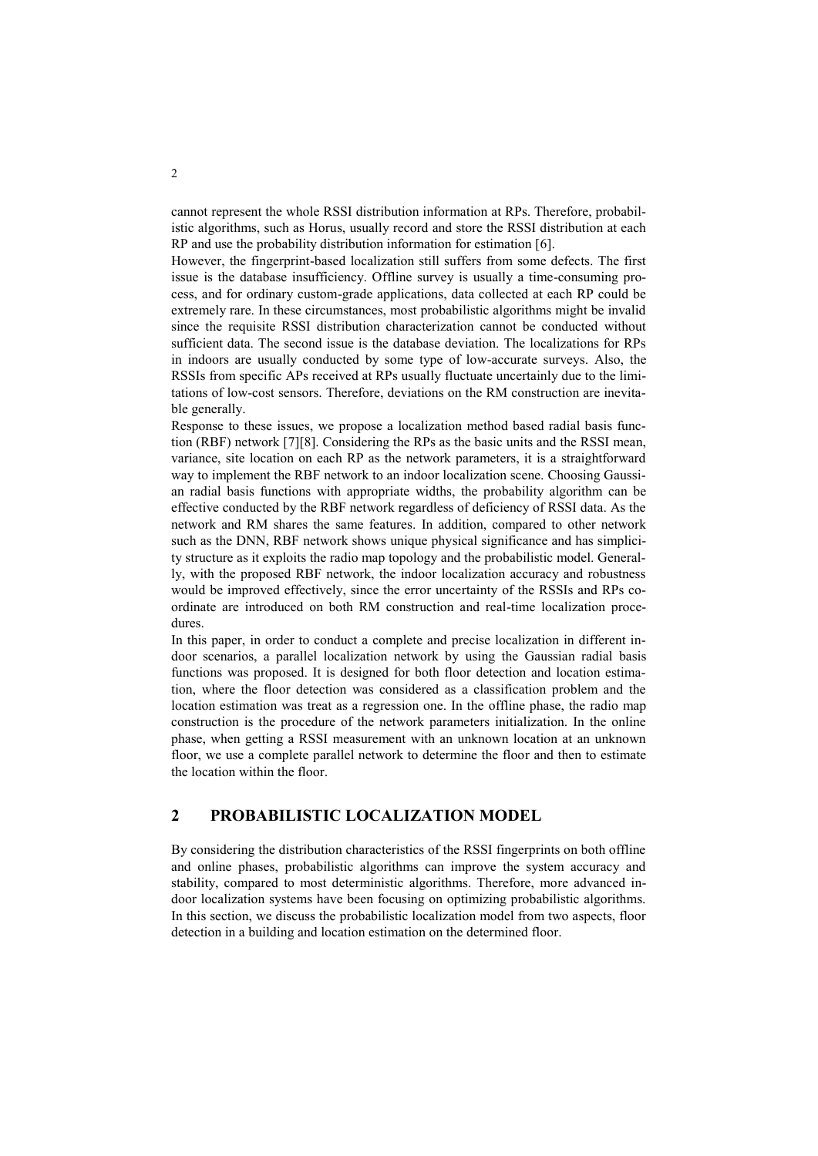cannot represent the whole RSSI distribution information at RPs. Therefore, probabilistic algorithms, such as Horus, usually record and store the RSSI distribution at each RP and use the probability distribution information for estimation [6].

However, the fingerprint-based localization still suffers from some defects. The first issue is the database insufficiency. Offline survey is usually a time-consuming process, and for ordinary custom-grade applications, data collected at each RP could be extremely rare. In these circumstances, most probabilistic algorithms might be invalid since the requisite RSSI distribution characterization cannot be conducted without sufficient data. The second issue is the database deviation. The localizations for RPs in indoors are usually conducted by some type of low-accurate surveys. Also, the RSSIs from specific APs received at RPs usually fluctuate uncertainly due to the limitations of low-cost sensors. Therefore, deviations on the RM construction are inevitable generally.

Response to these issues, we propose a localization method based radial basis function (RBF) network [7][8]. Considering the RPs as the basic units and the RSSI mean, variance, site location on each RP as the network parameters, it is a straightforward way to implement the RBF network to an indoor localization scene. Choosing Gaussian radial basis functions with appropriate widths, the probability algorithm can be effective conducted by the RBF network regardless of deficiency of RSSI data. As the network and RM shares the same features. In addition, compared to other network such as the DNN, RBF network shows unique physical significance and has simplicity structure as it exploits the radio map topology and the probabilistic model. Generally, with the proposed RBF network, the indoor localization accuracy and robustness would be improved effectively, since the error uncertainty of the RSSIs and RPs coordinate are introduced on both RM construction and real-time localization procedures.

In this paper, in order to conduct a complete and precise localization in different indoor scenarios, a parallel localization network by using the Gaussian radial basis functions was proposed. It is designed for both floor detection and location estimation, where the floor detection was considered as a classification problem and the location estimation was treat as a regression one. In the offline phase, the radio map construction is the procedure of the network parameters initialization. In the online phase, when getting a RSSI measurement with an unknown location at an unknown floor, we use a complete parallel network to determine the floor and then to estimate the location within the floor.

## **2 PROBABILISTIC LOCALIZATION MODEL**

By considering the distribution characteristics of the RSSI fingerprints on both offline and online phases, probabilistic algorithms can improve the system accuracy and stability, compared to most deterministic algorithms. Therefore, more advanced indoor localization systems have been focusing on optimizing probabilistic algorithms. In this section, we discuss the probabilistic localization model from two aspects, floor detection in a building and location estimation on the determined floor.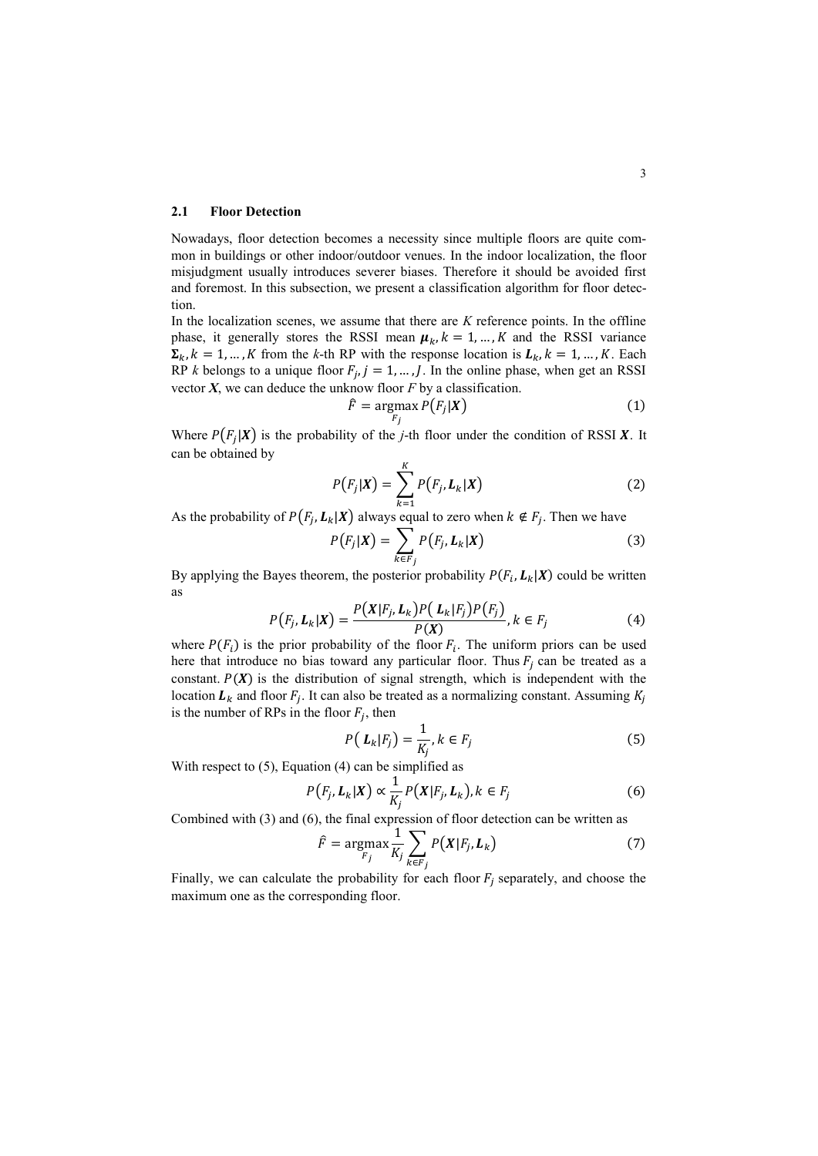#### **2.1 Floor Detection**

Nowadays, floor detection becomes a necessity since multiple floors are quite common in buildings or other indoor/outdoor venues. In the indoor localization, the floor misjudgment usually introduces severer biases. Therefore it should be avoided first and foremost. In this subsection, we present a classification algorithm for floor detection.

In the localization scenes, we assume that there are *K* reference points. In the offline phase, it generally stores the RSSI mean  $\mu_k$ ,  $k = 1, ..., K$  and the RSSI variance  $\Sigma_k$ ,  $k = 1, ..., K$  from the k-th RP with the response location is  $L_k$ ,  $k = 1, ..., K$ . Each RP *k* belongs to a unique floor  $F_j$ ,  $j = 1, ..., J$ . In the online phase, when get an RSSI vector *X*, we can deduce the unknow floor *F* by a classification.

$$
\hat{F} = \underset{F_j}{\text{argmax}} \, P\big(F_j | \boldsymbol{X}\big) \tag{1}
$$

Where  $P(F_j|X)$  is the probability of the *j*-th floor under the condition of RSSI X. It can be obtained by

$$
P(F_j|\boldsymbol{X}) = \sum_{k=1}^{K} P(F_j, L_k|\boldsymbol{X})
$$
\n(2)

As the probability of  $P(F_j, L_k | X)$  always equal to zero when  $k \notin F_j$ . Then we have

$$
P(F_j|\boldsymbol{X}) = \sum_{k \in F_j} P(F_j, L_k|\boldsymbol{X})
$$
\n(3)

By applying the Bayes theorem, the posterior probability  $P(F_i, L_k|X)$  could be written as

$$
P(F_j, L_k | X) = \frac{P(X|F_j, L_k)P(L_k|F_j)P(F_j)}{P(X)}, k \in F_j
$$
\n(4)

where  $P(F_i)$  is the prior probability of the floor  $F_i$ . The uniform priors can be used here that introduce no bias toward any particular floor. Thus  $F_i$  can be treated as a constant.  $P(X)$  is the distribution of signal strength, which is independent with the location  $L_k$  and floor  $F_j$ . It can also be treated as a normalizing constant. Assuming  $K_j$ is the number of RPs in the floor  $F_j$ , then

$$
P\left(\mathbf{L}_{k}|F_{j}\right) = \frac{1}{K_{j}}, k \in F_{j} \tag{5}
$$

With respect to (5), Equation (4) can be simplified as

$$
P\big(F_j, L_k|X\big) \propto \frac{1}{K_j} P\big(X|F_j, L_k\big), k \in F_j \tag{6}
$$

Combined with (3) and (6), the final expression of floor detection can be written as

$$
\hat{F} = \underset{F_j}{\text{argmax}} \frac{1}{K_j} \sum_{k \in F_j} P\big(X|F_j, L_k\big) \tag{7}
$$

Finally, we can calculate the probability for each floor  $F_j$  separately, and choose the maximum one as the corresponding floor.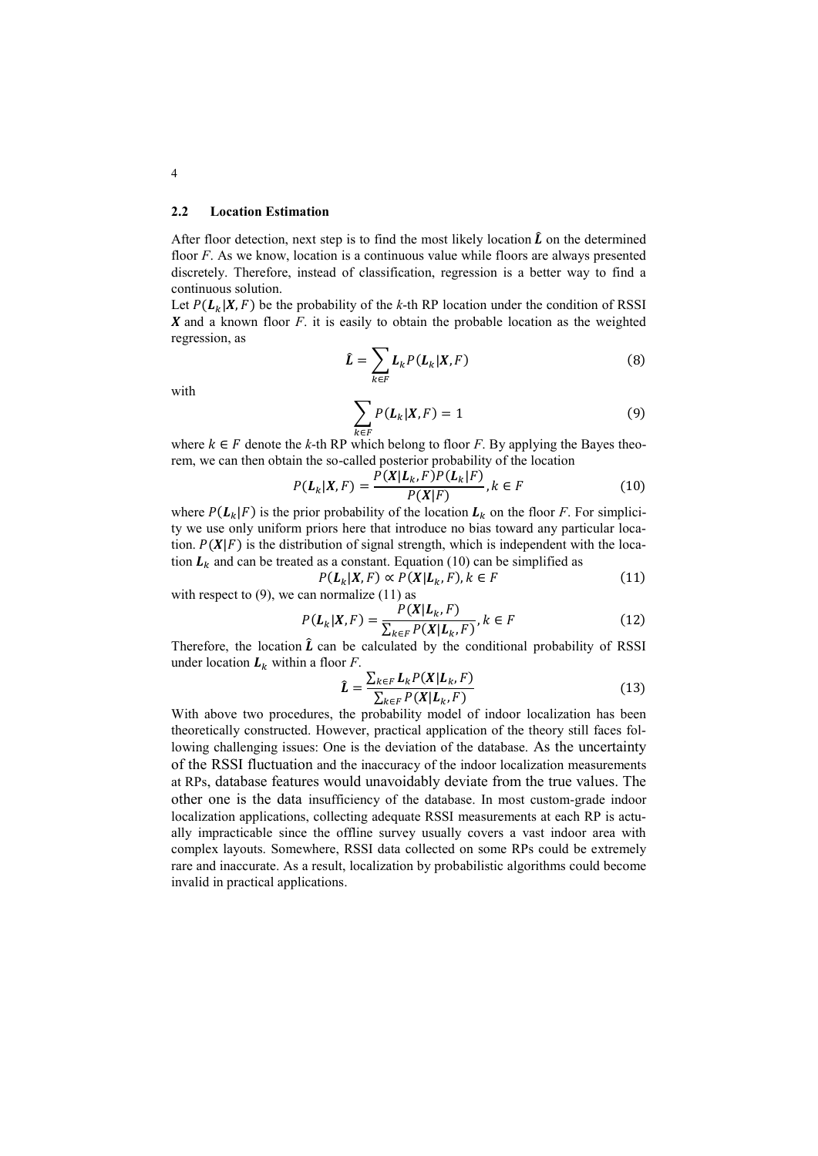#### **2.2 Location Estimation**

After floor detection, next step is to find the most likely location  $\hat{L}$  on the determined floor *F*. As we know, location is a continuous value while floors are always presented discretely. Therefore, instead of classification, regression is a better way to find a continuous solution.

Let  $P(L_k | X, F)$  be the probability of the *k*-th RP location under the condition of RSSI  $X$  and a known floor  $F$ . it is easily to obtain the probable location as the weighted regression, as

$$
\hat{\mathbf{L}} = \sum_{k \in F} \mathbf{L}_k P(\mathbf{L}_k | X, F) \tag{8}
$$

with

$$
\sum_{k \in F} P(L_k|X, F) = 1 \tag{9}
$$

 $\kappa \in F$  denote the *k*-th RP which belong to floor *F*. By applying the Bayes theorem, we can then obtain the so-called posterior probability of the location

$$
P(\mathbf{L}_k|\mathbf{X}, F) = \frac{P(\mathbf{X}|\mathbf{L}_k, F)P(\mathbf{L}_k|F)}{P(\mathbf{X}|F)}, k \in F
$$
\n(10)

where  $P(L_k|F)$  is the prior probability of the location  $L_k$  on the floor *F*. For simplicity we use only uniform priors here that introduce no bias toward any particular location.  $P(X|F)$  is the distribution of signal strength, which is independent with the location  $L_k$  and can be treated as a constant. Equation (10) can be simplified as

$$
P(\mathbf{L}_k|\mathbf{X}, F) \propto P(\mathbf{X}|\mathbf{L}_k, F), k \in F
$$
\nset to (9), we can normalize (11) as

with respect to  $(9)$ , we can normalize  $(11)$  as

$$
P(\mathbf{L}_k|\mathbf{X}, F) = \frac{P(\mathbf{X}|\mathbf{L}_k, F)}{\sum_{k \in F} P(\mathbf{X}|\mathbf{L}_k, F)}, k \in F
$$
\n(12)

Therefore, the location  $\hat{L}$  can be calculated by the conditional probability of RSSI under location  $L_k$  within a floor *F*.

$$
\hat{L} = \frac{\sum_{k \in F} L_k P(X | L_k, F)}{\sum_{k \in F} P(X | L_k, F)}
$$
(13)

With above two procedures, the probability model of indoor localization has been theoretically constructed. However, practical application of the theory still faces following challenging issues: One is the deviation of the database. As the uncertainty of the RSSI fluctuation and the inaccuracy of the indoor localization measurements at RPs, database features would unavoidably deviate from the true values. The other one is the data insufficiency of the database. In most custom-grade indoor localization applications, collecting adequate RSSI measurements at each RP is actually impracticable since the offline survey usually covers a vast indoor area with complex layouts. Somewhere, RSSI data collected on some RPs could be extremely rare and inaccurate. As a result, localization by probabilistic algorithms could become invalid in practical applications.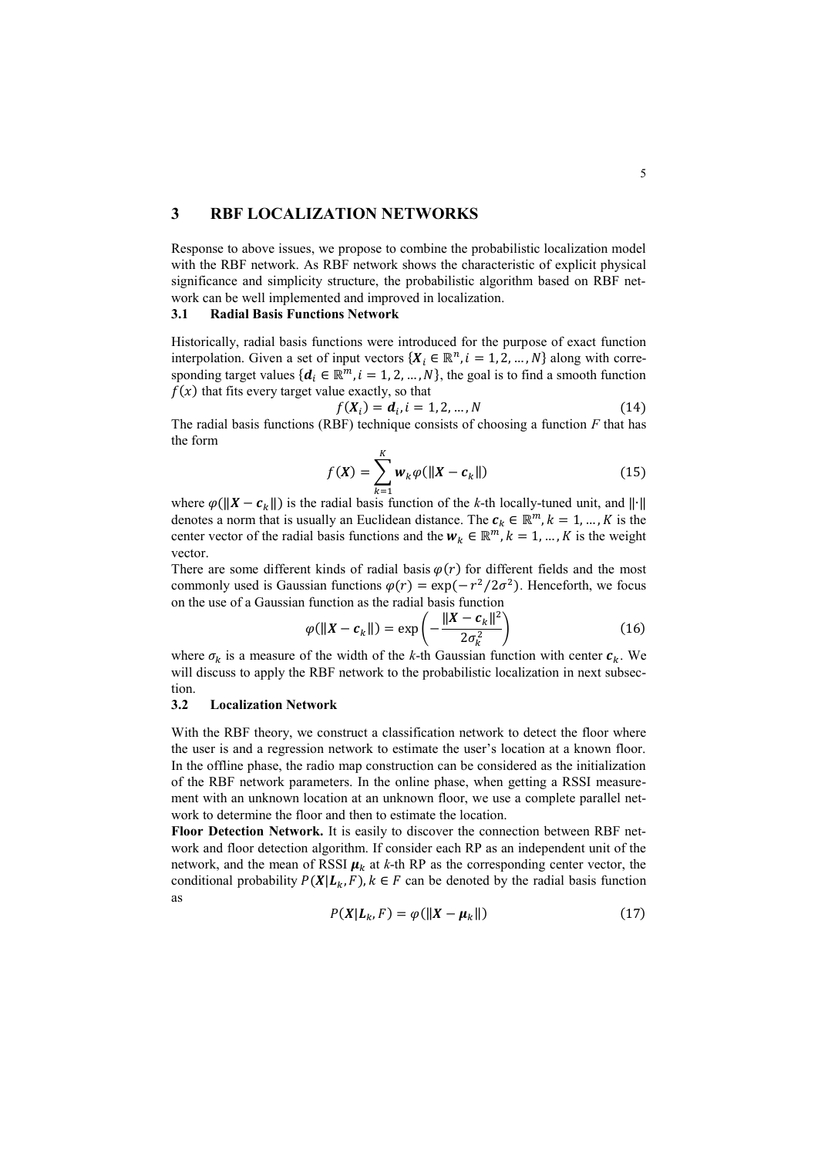## **3 RBF LOCALIZATION NETWORKS**

Response to above issues, we propose to combine the probabilistic localization model with the RBF network. As RBF network shows the characteristic of explicit physical significance and simplicity structure, the probabilistic algorithm based on RBF network can be well implemented and improved in localization.

### **3.1 Radial Basis Functions Network**

Historically, radial basis functions were introduced for the purpose of exact function interpolation. Given a set of input vectors  $\{X_i \in \mathbb{R}^n, i = 1, 2, ..., N\}$  along with corresponding target values  $\{d_i \in \mathbb{R}^m, i = 1, 2, ..., N\}$ , the goal is to find a smooth function  $f(x)$  that fits every target value exactly, so that

$$
f(X_i) = d_i, i = 1, 2, ..., N
$$
 (14)

The radial basis functions (RBF) technique consists of choosing a function *F* that has the form

$$
f(X) = \sum_{k=1}^{K} w_k \varphi(||X - c_k||)
$$
 (15)

where  $\varphi(||X - c_k||)$  is the radial basis function of the *k*-th locally-tuned unit, and  $||·||$ denotes a norm that is usually an Euclidean distance. The  $c_k \in \mathbb{R}^m$ ,  $k = 1, ..., K$  is the center vector of the radial basis functions and the  $w_k \in \mathbb{R}^m$ ,  $k = 1, ..., K$  is the weight vector.

There are some different kinds of radial basis  $\varphi(r)$  for different fields and the most commonly used is Gaussian functions  $\varphi(r) = \exp(-r^2/2\sigma^2)$ . Henceforth, we focus on the use of a Gaussian function as the radial basis function

$$
\varphi(||X - c_k||) = \exp\left(-\frac{||X - c_k||^2}{2\sigma_k^2}\right) \tag{16}
$$

where  $\sigma_k$  is a measure of the width of the *k*-th Gaussian function with center  $c_k$ . We will discuss to apply the RBF network to the probabilistic localization in next subsection.

### **3.2 Localization Network**

With the RBF theory, we construct a classification network to detect the floor where the user is and a regression network to estimate the user's location at a known floor. In the offline phase, the radio map construction can be considered as the initialization of the RBF network parameters. In the online phase, when getting a RSSI measurement with an unknown location at an unknown floor, we use a complete parallel network to determine the floor and then to estimate the location.

**Floor Detection Network.** It is easily to discover the connection between RBF network and floor detection algorithm. If consider each RP as an independent unit of the network, and the mean of RSSI  $\mu_k$  at *k*-th RP as the corresponding center vector, the conditional probability  $P(X|L_k, F)$ ,  $k \in F$  can be denoted by the radial basis function as

$$
P(X|L_k, F) = \varphi(||X - \mu_k||) \tag{17}
$$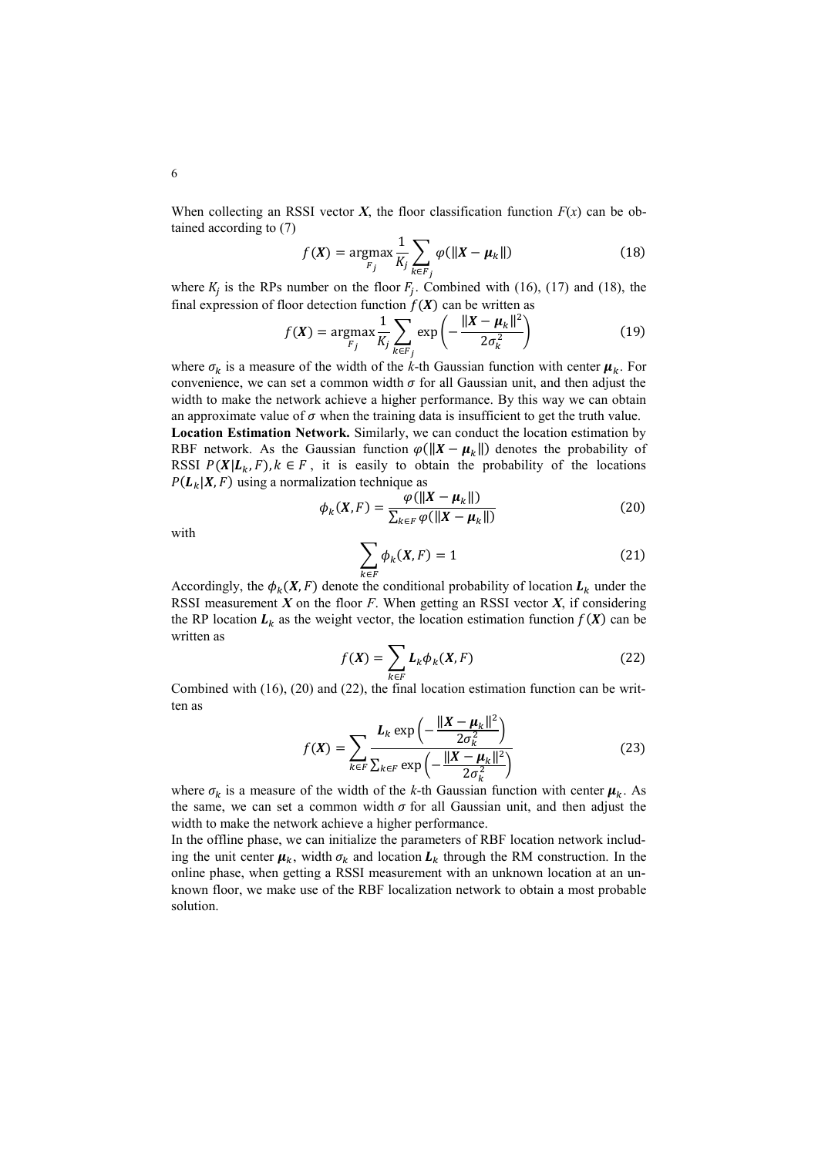When collecting an RSSI vector  $X$ , the floor classification function  $F(x)$  can be obtained according to (7)

$$
f(\boldsymbol{X}) = \underset{F_j}{\text{argmax}} \frac{1}{K_j} \sum_{k \in F_j} \varphi(||\boldsymbol{X} - \boldsymbol{\mu}_k||) \tag{18}
$$

where  $K_j$  is the RPs number on the floor  $F_j$ . Combined with (16), (17) and (18), the final expression of floor detection function  $f(X)$  can be written as

$$
f(\boldsymbol{X}) = \underset{F_j}{\text{argmax}} \frac{1}{K_j} \sum_{k \in F_j} \exp\left(-\frac{\|\boldsymbol{X} - \boldsymbol{\mu}_k\|^2}{2\sigma_k^2}\right) \tag{19}
$$

where  $\sigma_k$  is a measure of the width of the *k*-th Gaussian function with center  $\mu_k$ . For convenience, we can set a common width  $\sigma$  for all Gaussian unit, and then adjust the width to make the network achieve a higher performance. By this way we can obtain an approximate value of  $\sigma$  when the training data is insufficient to get the truth value. **Location Estimation Network.** Similarly, we can conduct the location estimation by RBF network. As the Gaussian function  $\varphi(||X - \mu_k||)$  denotes the probability of RSSI  $P(X|L_k, F)$ ,  $k \in F$ , it is easily to obtain the probability of the locations  $P(L_k|X, F)$  using a normalization technique as

$$
\phi_k(X, F) = \frac{\varphi(||X - \mu_k||)}{\sum_{k \in F} \varphi(||X - \mu_k||)}\tag{20}
$$

with

$$
\sum_{k \in F} \phi_k(X, F) = 1 \tag{21}
$$

Accordingly, the  $\phi_k(X, F)$  denote the conditional probability of location  $L_k$  under the RSSI measurement *X* on the floor *F*. When getting an RSSI vector *X*, if considering the RP location  $L_k$  as the weight vector, the location estimation function  $f(X)$  can be written as

$$
f(X) = \sum_{k \in F} L_k \phi_k(X, F) \tag{22}
$$

Combined with (16), (20) and (22), the final location estimation function can be written as

$$
f(X) = \sum_{k \in F} \frac{L_k \exp\left(-\frac{\|X - \mu_k\|^2}{2\sigma_k^2}\right)}{\sum_{k \in F} \exp\left(-\frac{\|X - \mu_k\|^2}{2\sigma_k^2}\right)}
$$
(23)

where  $\sigma_k$  is a measure of the width of the *k*-th Gaussian function with center  $\mu_k$ . As the same, we can set a common width  $\sigma$  for all Gaussian unit, and then adjust the width to make the network achieve a higher performance.

In the offline phase, we can initialize the parameters of RBF location network including the unit center  $\mu_k$ , width  $\sigma_k$  and location  $L_k$  through the RM construction. In the online phase, when getting a RSSI measurement with an unknown location at an unknown floor, we make use of the RBF localization network to obtain a most probable solution.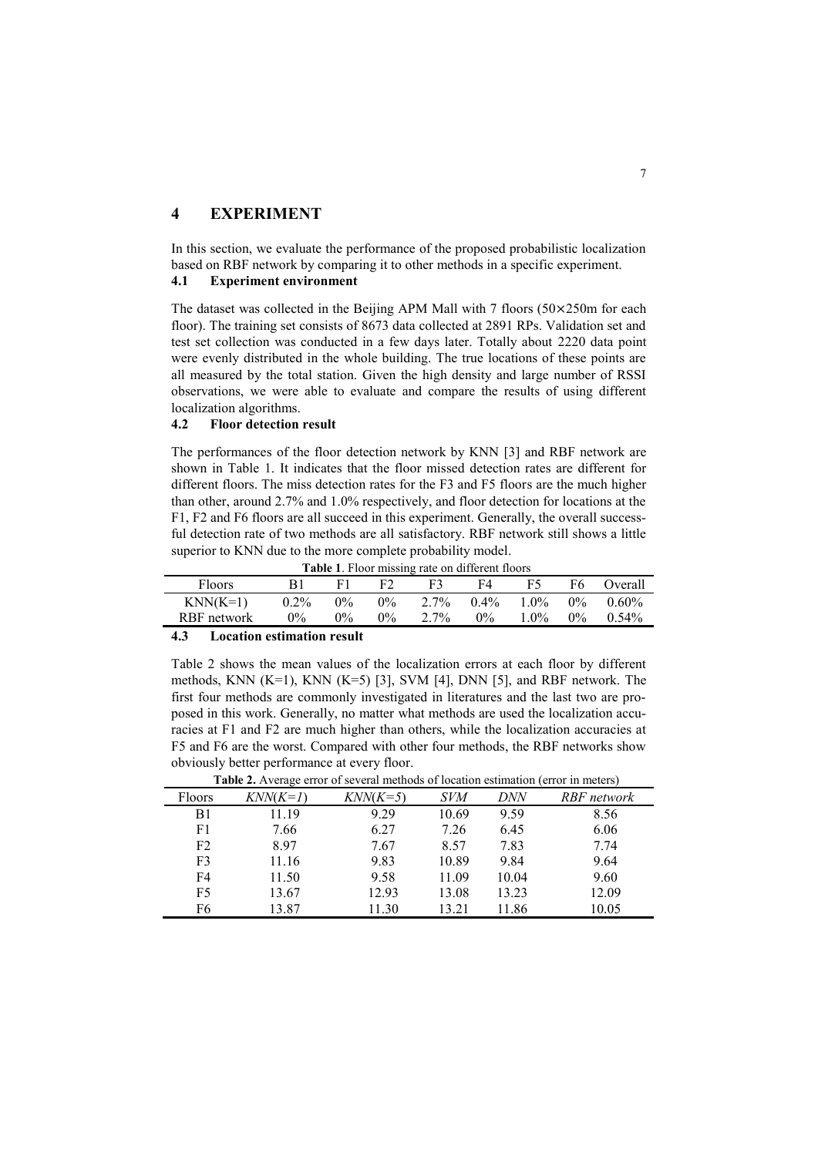## **4 EXPERIMENT**

In this section, we evaluate the performance of the proposed probabilistic localization based on RBF network by comparing it to other methods in a specific experiment.

### **4.1 Experiment environment**

The dataset was collected in the Beijing APM Mall with 7 floors (50×250m for each floor). The training set consists of 8673 data collected at 2891 RPs. Validation set and test set collection was conducted in a few days later. Totally about 2220 data point were evenly distributed in the whole building. The true locations of these points are all measured by the total station. Given the high density and large number of RSSI observations, we were able to evaluate and compare the results of using different localization algorithms.

#### **4.2 Floor detection result**

The performances of the floor detection network by KNN [3] and RBF network are shown in Table 1. It indicates that the floor missed detection rates are different for different floors. The miss detection rates for the F3 and F5 floors are the much higher than other, around 2.7% and 1.0% respectively, and floor detection for locations at the F1, F2 and F6 floors are all succeed in this experiment. Generally, the overall successful detection rate of two methods are all satisfactory. RBF network still shows a little superior to KNN due to the more complete probability model.

|  |  | <b>Table 1.</b> Floor missing rate on different floors |
|--|--|--------------------------------------------------------|
|--|--|--------------------------------------------------------|

| F3<br>F2<br><b>Floors</b><br>F5<br>F4<br>вı                              | F6.<br>Overall    |
|--------------------------------------------------------------------------|-------------------|
| $2.7\%$<br>$KNN(K=1)$<br>$1.0\%$<br>$0.2\%$<br>$0.4\%$<br>$0\%$<br>$0\%$ | $0\%$<br>$0.60\%$ |
| $2.7\%$<br>$1.0\%$<br>$0\%$<br>$9\%$<br>$0\%$<br>RBF network<br>$0\%$    | $0\%$<br>$0.54\%$ |

### **4.3 Location estimation result**

Table 2 shows the mean values of the localization errors at each floor by different methods, KNN  $(K=1)$ , KNN  $(K=5)$  [3], SVM [4], DNN [5], and RBF network. The first four methods are commonly investigated in literatures and the last two are proposed in this work. Generally, no matter what methods are used the localization accuracies at F1 and F2 are much higher than others, while the localization accuracies at F5 and F6 are the worst. Compared with other four methods, the RBF networks show obviously better performance at every floor.

| <b>Table 2.</b> Average error of several memous of location estimation (error in meters) |            |            |            |            |             |  |
|------------------------------------------------------------------------------------------|------------|------------|------------|------------|-------------|--|
| Floors                                                                                   | $KNN(K=1)$ | $KNN(K=5)$ | <i>SVM</i> | <i>DNN</i> | RBF network |  |
| B1                                                                                       | 11.19      | 9.29       | 10.69      | 9.59       | 8.56        |  |
| F1                                                                                       | 7.66       | 6.27       | 7.26       | 6.45       | 6.06        |  |
| F <sub>2</sub>                                                                           | 8.97       | 7.67       | 8.57       | 7.83       | 7.74        |  |
| F <sub>3</sub>                                                                           | 11.16      | 9.83       | 10.89      | 9.84       | 9.64        |  |
| F4                                                                                       | 11.50      | 9.58       | 11.09      | 10.04      | 9.60        |  |
| F <sub>5</sub>                                                                           | 13.67      | 12.93      | 13.08      | 13.23      | 12.09       |  |
| F <sub>6</sub>                                                                           | 13.87      | 11.30      | 13.21      | 11.86      | 10.05       |  |

**Table 2.** Average error of several methods of location estimation (error in meters)